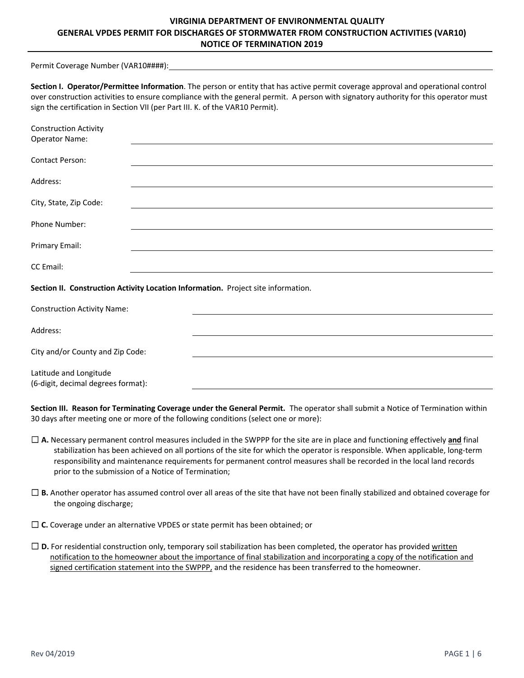# **VIRGINIA DEPARTMENT OF ENVIRONMENTAL QUALITY GENERAL VPDES PERMIT FOR DISCHARGES OF STORMWATER FROM CONSTRUCTION ACTIVITIES (VAR10) NOTICE OF TERMINATION 2019**

Permit Coverage Number (VAR10####):

| Section I. Operator/Permittee Information. The person or entity that has active permit coverage approval and operational control    |
|-------------------------------------------------------------------------------------------------------------------------------------|
| over construction activities to ensure compliance with the general permit. A person with signatory authority for this operator must |
| sign the certification in Section VII (per Part III. K. of the VAR10 Permit).                                                       |

| <b>Construction Activity</b><br><b>Operator Name:</b>                             |  |  |
|-----------------------------------------------------------------------------------|--|--|
| <b>Contact Person:</b>                                                            |  |  |
| Address:                                                                          |  |  |
| City, State, Zip Code:                                                            |  |  |
| Phone Number:                                                                     |  |  |
| Primary Email:                                                                    |  |  |
| CC Email:                                                                         |  |  |
| Section II. Construction Activity Location Information. Project site information. |  |  |
| <b>Construction Activity Name:</b>                                                |  |  |
| Address:                                                                          |  |  |
| City and/or County and Zip Code:                                                  |  |  |
| Latitude and Longitude<br>(6-digit, decimal degrees format):                      |  |  |

**Section III. Reason for Terminating Coverage under the General Permit.**  The operator shall submit a Notice of Termination within 30 days after meeting one or more of the following conditions (select one or more):

- ☐ **A.** Necessary permanent control measures included in the SWPPP for the site are in place and functioning effectively **and** final stabilization has been achieved on all portions of the site for which the operator is responsible. When applicable, long‐term responsibility and maintenance requirements for permanent control measures shall be recorded in the local land records prior to the submission of a Notice of Termination;
- ☐ **B.** Another operator has assumed control over all areas of the site that have not been finally stabilized and obtained coverage for the ongoing discharge;
- ☐ **C.** Coverage under an alternative VPDES or state permit has been obtained; or
- ☐ **D.** For residential construction only, temporary soil stabilization has been completed, the operator has provided written notification to the homeowner about the importance of final stabilization and incorporating a copy of the notification and signed certification statement into the SWPPP, and the residence has been transferred to the homeowner.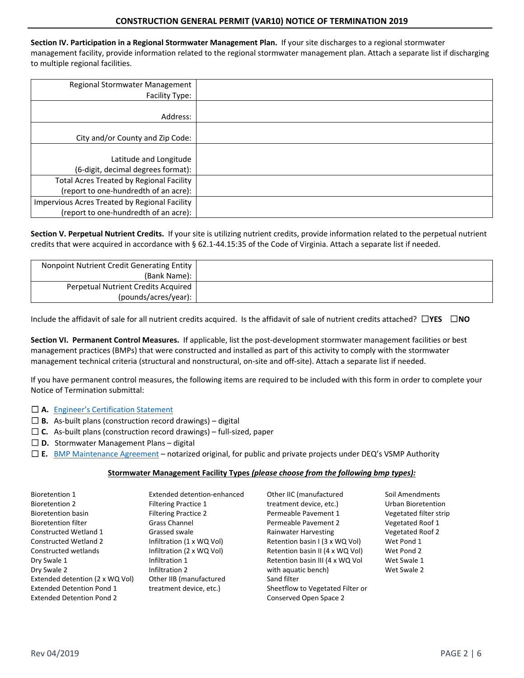**Section IV. Participation in a Regional Stormwater Management Plan.** If your site discharges to a regional stormwater management facility, provide information related to the regional stormwater management plan. Attach a separate list if discharging to multiple regional facilities.

| Regional Stormwater Management<br>Facility Type:                                       |  |
|----------------------------------------------------------------------------------------|--|
| Address:                                                                               |  |
| City and/or County and Zip Code:                                                       |  |
| Latitude and Longitude<br>(6-digit, decimal degrees format):                           |  |
| Total Acres Treated by Regional Facility<br>(report to one-hundredth of an acre):      |  |
| Impervious Acres Treated by Regional Facility<br>(report to one-hundredth of an acre): |  |

**Section V. Perpetual Nutrient Credits.** If your site is utilizing nutrient credits, provide information related to the perpetual nutrient credits that were acquired in accordance with § 62.1‐44.15:35 of the Code of Virginia. Attach a separate list if needed.

| Nonpoint Nutrient Credit Generating Entity |  |
|--------------------------------------------|--|
| (Bank Name):                               |  |
| Perpetual Nutrient Credits Acquired        |  |
| (pounds/acres/year):                       |  |

Include the affidavit of sale for all nutrient credits acquired. Is the affidavit of sale of nutrient credits attached? ☐**YES** ☐**NO** 

Section VI. Permanent Control Measures. If applicable, list the post-development stormwater management facilities or best management practices (BMPs) that were constructed and installed as part of this activity to comply with the stormwater management technical criteria (structural and nonstructural, on‐site and off‐site). Attach a separate list if needed.

If you have permanent control measures, the following items are required to be included with this form in order to complete your Notice of Termination submittal:

### □ A. Engineer's Certification Statement

- ☐ **B.** As‐built plans (construction record drawings) digital
- □ C. As-built plans (construction record drawings) full-sized, paper
- □ **D.** Stormwater Management Plans digital
- ☐ **E.** BMP Maintenance Agreement notarized original, for public and private projects under DEQ's VSMP Authority

### **Stormwater Management Facility Types** *(please choose from the following bmp types):*

| <b>Bioretention 1</b>            | Extended detention-enhanced | Other IIC (manufactured          | Soil Amendments           |
|----------------------------------|-----------------------------|----------------------------------|---------------------------|
| <b>Bioretention 2</b>            | <b>Filtering Practice 1</b> | treatment device, etc.)          | <b>Urban Bioretention</b> |
| Bioretention basin               | <b>Filtering Practice 2</b> | Permeable Pavement 1             | Vegetated filter strip    |
| <b>Bioretention filter</b>       | <b>Grass Channel</b>        | Permeable Pavement 2             | Vegetated Roof 1          |
| Constructed Wetland 1            | Grassed swale               | Rainwater Harvesting             | Vegetated Roof 2          |
| <b>Constructed Wetland 2</b>     | Infiltration (1 x WQ Vol)   | Retention basin I (3 x WQ Vol)   | Wet Pond 1                |
| Constructed wetlands             | Infiltration (2 x WQ Vol)   | Retention basin II (4 x WQ Vol)  | Wet Pond 2                |
| Dry Swale 1                      | Infiltration 1              | Retention basin III (4 x WQ Vol  | Wet Swale 1               |
| Dry Swale 2                      | Infiltration 2              | with aquatic bench)              | Wet Swale 2               |
| Extended detention (2 x WQ Vol)  | Other IIB (manufactured     | Sand filter                      |                           |
| <b>Extended Detention Pond 1</b> | treatment device, etc.)     | Sheetflow to Vegetated Filter or |                           |
| <b>Extended Detention Pond 2</b> |                             | Conserved Open Space 2           |                           |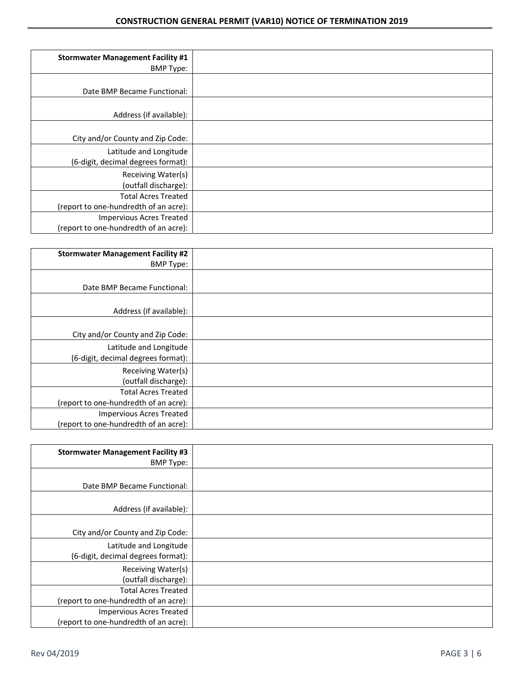| <b>Stormwater Management Facility #1</b><br><b>BMP Type:</b>             |  |
|--------------------------------------------------------------------------|--|
| Date BMP Became Functional:                                              |  |
| Address (if available):                                                  |  |
| City and/or County and Zip Code:                                         |  |
| Latitude and Longitude<br>(6-digit, decimal degrees format):             |  |
| Receiving Water(s)<br>(outfall discharge):                               |  |
| <b>Total Acres Treated</b><br>(report to one-hundredth of an acre):      |  |
| <b>Impervious Acres Treated</b><br>(report to one-hundredth of an acre): |  |

| <b>Stormwater Management Facility #2</b> |  |
|------------------------------------------|--|
| <b>BMP Type:</b>                         |  |
|                                          |  |
| Date BMP Became Functional:              |  |
|                                          |  |
| Address (if available):                  |  |
|                                          |  |
| City and/or County and Zip Code:         |  |
| Latitude and Longitude                   |  |
| (6-digit, decimal degrees format):       |  |
| Receiving Water(s)                       |  |
| (outfall discharge):                     |  |
| <b>Total Acres Treated</b>               |  |
| (report to one-hundredth of an acre):    |  |
| <b>Impervious Acres Treated</b>          |  |
| (report to one-hundredth of an acre):    |  |

| <b>Stormwater Management Facility #3</b><br><b>BMP Type:</b>             |  |
|--------------------------------------------------------------------------|--|
| Date BMP Became Functional:                                              |  |
| Address (if available):                                                  |  |
| City and/or County and Zip Code:                                         |  |
| Latitude and Longitude<br>(6-digit, decimal degrees format):             |  |
| Receiving Water(s)<br>(outfall discharge):                               |  |
| <b>Total Acres Treated</b><br>(report to one-hundredth of an acre):      |  |
| <b>Impervious Acres Treated</b><br>(report to one-hundredth of an acre): |  |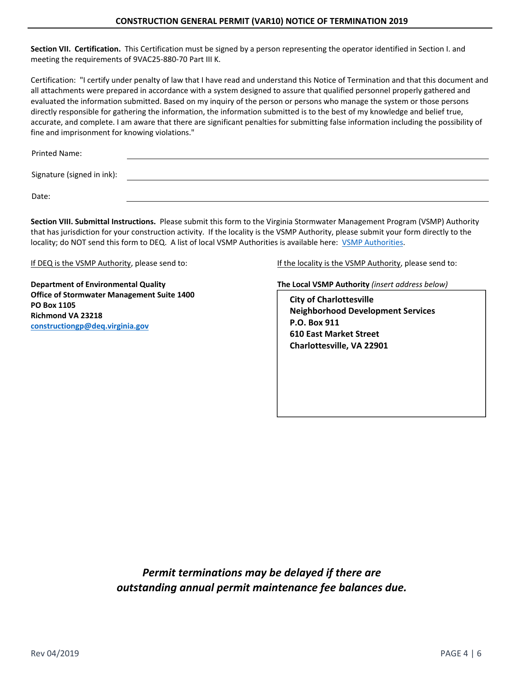**Section VII. Certification.** This Certification must be signed by a person representing the operator identified in Section I. and meeting the requirements of 9VAC25‐880‐70 Part III K.

Certification: "I certify under penalty of law that I have read and understand this Notice of Termination and that this document and all attachments were prepared in accordance with a system designed to assure that qualified personnel properly gathered and evaluated the information submitted. Based on my inquiry of the person or persons who manage the system or those persons directly responsible for gathering the information, the information submitted is to the best of my knowledge and belief true, accurate, and complete. I am aware that there are significant penalties for submitting false information including the possibility of fine and imprisonment for knowing violations."

Printed Name: Signature (signed in ink): Date:

**Section VIII. Submittal Instructions.** Please submit this form to the Virginia Stormwater Management Program (VSMP) Authority that has jurisdiction for your construction activity. If the locality is the VSMP Authority, please submit your form directly to the locality; do NOT send this form to DEQ. A list of local VSMP Authorities is available here: VSMP Authorities.

**Office of Stormwater Management Suite 1400 PO Box 1105 Richmond VA 23218 constructiongp@deq.virginia.gov**

If DEQ is the VSMP Authority, please send to: If the locality is the VSMP Authority, please send to:

**Department of Environmental Quality** *The Local VSMP Authority (insert address below)* **<b>The Local VSMP Authority** *(insert address below)* 

**City of Charlottesville Neighborhood Development Services P.O. Box 911 610 East Market Street Charlottesville, VA 22901** 

*Permit terminations may be delayed if there are outstanding annual permit maintenance fee balances due.*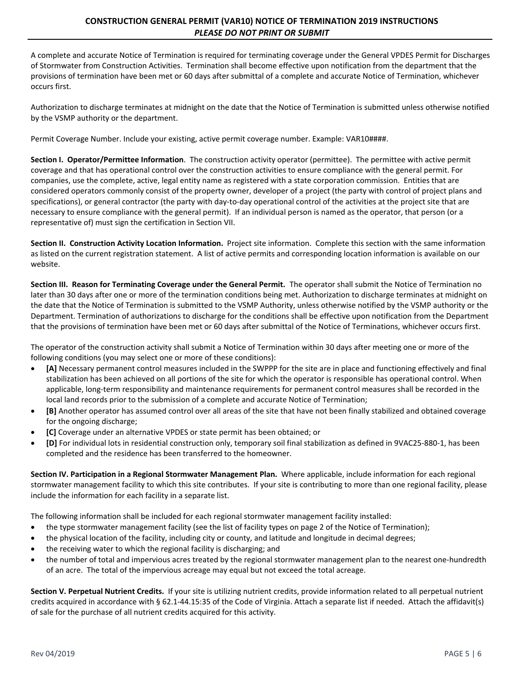## **CONSTRUCTION GENERAL PERMIT (VAR10) NOTICE OF TERMINATION 2019 INSTRUCTIONS**  *PLEASE DO NOT PRINT OR SUBMIT*

A complete and accurate Notice of Termination is required for terminating coverage under the General VPDES Permit for Discharges of Stormwater from Construction Activities. Termination shall become effective upon notification from the department that the provisions of termination have been met or 60 days after submittal of a complete and accurate Notice of Termination, whichever occurs first.

Authorization to discharge terminates at midnight on the date that the Notice of Termination is submitted unless otherwise notified by the VSMP authority or the department.

Permit Coverage Number. Include your existing, active permit coverage number. Example: VAR10####.

**Section I. Operator/Permittee Information**. The construction activity operator (permittee). The permittee with active permit coverage and that has operational control over the construction activities to ensure compliance with the general permit. For companies, use the complete, active, legal entity name as registered with a state corporation commission. Entities that are considered operators commonly consist of the property owner, developer of a project (the party with control of project plans and specifications), or general contractor (the party with day-to-day operational control of the activities at the project site that are necessary to ensure compliance with the general permit). If an individual person is named as the operator, that person (or a representative of) must sign the certification in Section VII.

**Section II. Construction Activity Location Information.** Project site information. Complete this section with the same information as listed on the current registration statement. A list of active permits and corresponding location information is available on our website.

**Section III. Reason for Terminating Coverage under the General Permit.**  The operator shall submit the Notice of Termination no later than 30 days after one or more of the termination conditions being met. Authorization to discharge terminates at midnight on the date that the Notice of Termination is submitted to the VSMP Authority, unless otherwise notified by the VSMP authority or the Department. Termination of authorizations to discharge for the conditions shall be effective upon notification from the Department that the provisions of termination have been met or 60 days after submittal of the Notice of Terminations, whichever occurs first.

The operator of the construction activity shall submit a Notice of Termination within 30 days after meeting one or more of the following conditions (you may select one or more of these conditions):

- **[A]** Necessary permanent control measures included in the SWPPP for the site are in place and functioning effectively and final stabilization has been achieved on all portions of the site for which the operator is responsible has operational control. When applicable, long-term responsibility and maintenance requirements for permanent control measures shall be recorded in the local land records prior to the submission of a complete and accurate Notice of Termination;
- **[B]** Another operator has assumed control over all areas of the site that have not been finally stabilized and obtained coverage for the ongoing discharge;
- **[C]** Coverage under an alternative VPDES or state permit has been obtained; or
- **[D]** For individual lots in residential construction only, temporary soil final stabilization as defined in 9VAC25‐880‐1, has been completed and the residence has been transferred to the homeowner.

**Section IV. Participation in a Regional Stormwater Management Plan.** Where applicable, include information for each regional stormwater management facility to which this site contributes. If your site is contributing to more than one regional facility, please include the information for each facility in a separate list.

The following information shall be included for each regional stormwater management facility installed:

- the type stormwater management facility (see the list of facility types on page 2 of the Notice of Termination);
- the physical location of the facility, including city or county, and latitude and longitude in decimal degrees;
- the receiving water to which the regional facility is discharging; and
- the number of total and impervious acres treated by the regional stormwater management plan to the nearest one-hundredth of an acre. The total of the impervious acreage may equal but not exceed the total acreage.

**Section V. Perpetual Nutrient Credits.** If your site is utilizing nutrient credits, provide information related to all perpetual nutrient credits acquired in accordance with § 62.1‐44.15:35 of the Code of Virginia. Attach a separate list if needed. Attach the affidavit(s) of sale for the purchase of all nutrient credits acquired for this activity.